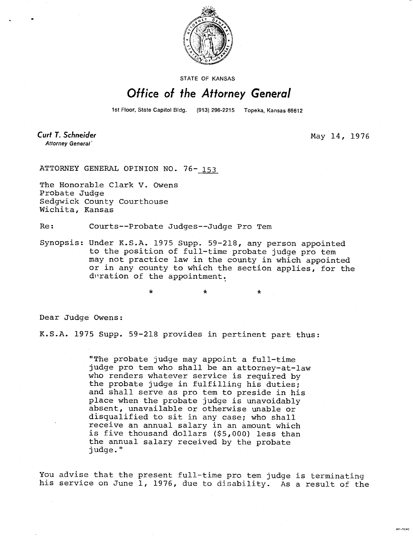

STATE OF KANSAS

## Office of the Attorney General

1st Floor, State Capitol Bldg. (913) 296-2215 Topeka, Kansas 66612

Curt T. Schneider Attorney General'

May 14, 1976

M1-1043

ATTORNEY GENERAL OPINION NO. 76- 153

The Honorable Clark V. Owens Probate Judge Sedgwick County Courthouse Wichita, Kansas

Re: Courts--Probate Judges--Judge Pro Tem

Synopsis: Under K.S.A. 1975 Supp. 59-218, any person appointed to the position of full-time probate judge pro tem may not practice law in the county in which appointed or in any county to which the section applies, for the duration of the appointment.

Dear Judge Owens:

K.S.A. 1975 Supp. 59-218 provides in pertinent part thus:

"The probate judge may appoint a full-time judge pro tem who shall be an attorney-at-law who renders whatever service is required by the probate judge in fulfilling his duties; and shall serve as pro tem to preside in his place when the probate judge is unavoidably absent, unavailable or otherwise unable or disqualified to sit in any case; who shall receive an annual salary in an amount which is five thousand dollars (\$5,000) less than the annual salary received by the probate judge."

You advise that the present full-time pro tem judge is terminating his service on June 1, 1976, due to disability. As a result of the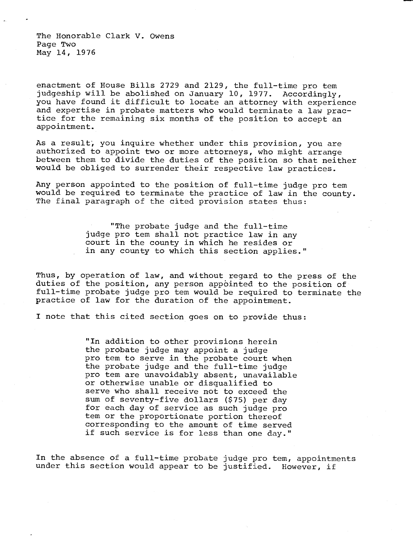The Honorable Clark V. Owens Page Two May 14, 1976

enactment of House Bills 2729 and 2129, the full-time pro tem judgeship will be abolished on January 10, 1977. Accordingly, you have found it difficult to locate an attorney with experience and expertise in probate matters who would terminate a law practice for the remaining six months of the position to accept an appointment.

As a result, you inquire whether under this provision, you are authorized to appoint two or more attorneys, who might arrange between them to divide the duties of the position so that neither would be obliged to surrender their respective law practices.

Any person appointed to the position of full-time judge pro tem would be required to terminate the practice of law in the county. The final paragraph of the cited provision states thus:

> "The probate judge and the full-time judge pro tem shall not practice law in any court in the county in which he resides or in any county to which this section applies."

Thus, by operation of law, and without regard to the press of the duties of the position, any person appointed to the position of full-time probate judge pro tem would be required to terminate the practice of law for the duration of the appointment.

I note that this cited section goes on to provide thus:

"In addition to other provisions herein the probate judge may appoint a judge pro tem to serve in the probate court when the probate judge and the full-time judge pro tem are unavoidably absent, unavailable or otherwise unable or disqualified to serve who shall receive not to exceed the sum of seventy-five dollars (\$75) per day for each day of service as such judge pro tem or the proportionate portion thereof corresponding to the amount of time served if such service is for less than one day."

In the absence of a full-time probate judge pro tem, appointments under this section would appear to be justified. However, if